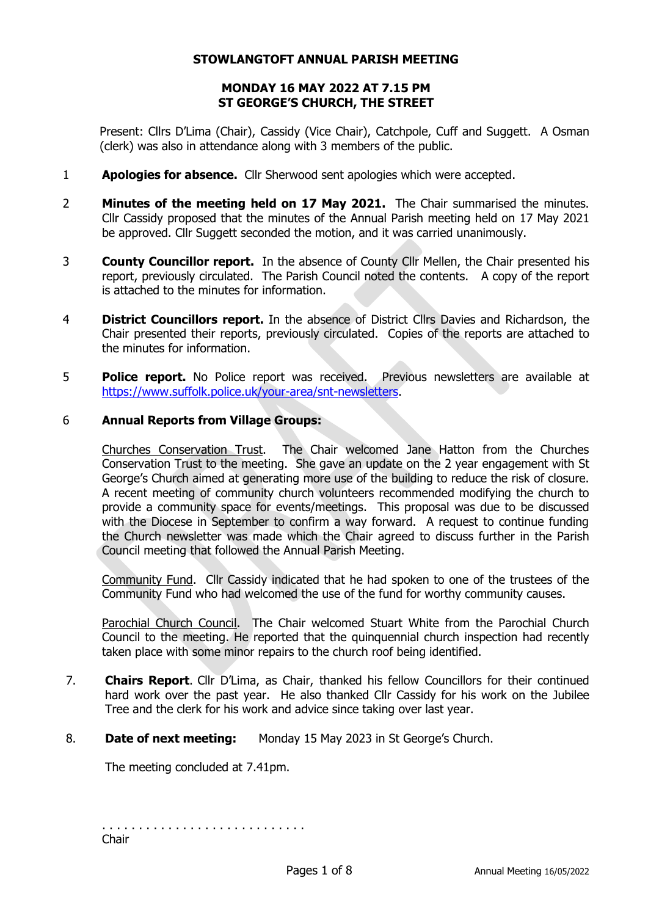#### **STOWLANGTOFT ANNUAL PARISH MEETING**

# **MONDAY 16 MAY 2022 AT 7.15 PM ST GEORGE'S CHURCH, THE STREET**

Present: Cllrs D'Lima (Chair), Cassidy (Vice Chair), Catchpole, Cuff and Suggett. A Osman (clerk) was also in attendance along with 3 members of the public.

- 1 **Apologies for absence.** Cllr Sherwood sent apologies which were accepted.
- 2 **Minutes of the meeting held on 17 May 2021.** The Chair summarised the minutes. Cllr Cassidy proposed that the minutes of the Annual Parish meeting held on 17 May 2021 be approved. Cllr Suggett seconded the motion, and it was carried unanimously.
- 3 **County Councillor report.** In the absence of County Cllr Mellen, the Chair presented his report, previously circulated. The Parish Council noted the contents. A copy of the report is attached to the minutes for information.
- 4 **District Councillors report.** In the absence of District Cllrs Davies and Richardson, the Chair presented their reports, previously circulated. Copies of the reports are attached to the minutes for information.
- 5 **Police report.** No Police report was received. Previous newsletters are available at [https://www.suffolk.police.uk/your-area/snt-newsletters.](about:blank)

# 6 **Annual Reports from Village Groups:**

Churches Conservation Trust. The Chair welcomed Jane Hatton from the Churches Conservation Trust to the meeting. She gave an update on the 2 year engagement with St George's Church aimed at generating more use of the building to reduce the risk of closure. A recent meeting of community church volunteers recommended modifying the church to provide a community space for events/meetings. This proposal was due to be discussed with the Diocese in September to confirm a way forward. A request to continue funding the Church newsletter was made which the Chair agreed to discuss further in the Parish Council meeting that followed the Annual Parish Meeting.

Community Fund. Cllr Cassidy indicated that he had spoken to one of the trustees of the Community Fund who had welcomed the use of the fund for worthy community causes.

Parochial Church Council. The Chair welcomed Stuart White from the Parochial Church Council to the meeting. He reported that the quinquennial church inspection had recently taken place with some minor repairs to the church roof being identified.

- 7. **Chairs Report**. Cllr D'Lima, as Chair, thanked his fellow Councillors for their continued hard work over the past year. He also thanked Cllr Cassidy for his work on the Jubilee Tree and the clerk for his work and advice since taking over last year.
- 8. **Date of next meeting:** Monday 15 May 2023 in St George's Church.

The meeting concluded at 7.41pm.

. . . . . . . . . . . . . . . . . . . . . . . . . . . . Chair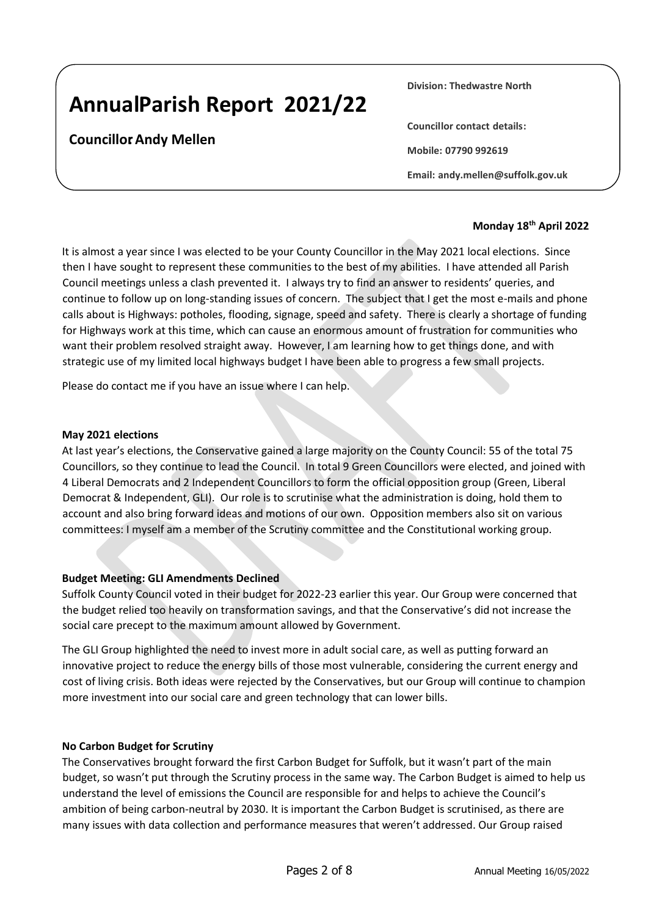# **Annual Parish Report 2021/22**

# **Councillor: Andy Mellen**

**Division: Thedwastre North**

**Councillor contact details:**

**Mobile: 07790 992619**

**Email: andy.mellen@suffolk.gov.uk**

# **Monday 18th April 2022**

It is almost a year since I was elected to be your County Councillor in the May 2021 local elections. Since then I have sought to represent these communities to the best of my abilities. I have attended all Parish Council meetings unless a clash prevented it. I always try to find an answer to residents' queries, and continue to follow up on long-standing issues of concern. The subject that I get the most e-mails and phone calls about is Highways: potholes, flooding, signage, speed and safety. There is clearly a shortage of funding for Highways work at this time, which can cause an enormous amount of frustration for communities who want their problem resolved straight away. However, I am learning how to get things done, and with strategic use of my limited local highways budget I have been able to progress a few small projects.

Please do contact me if you have an issue where I can help.

## **May 2021 elections**

At last year's elections, the Conservative gained a large majority on the County Council: 55 of the total 75 Councillors, so they continue to lead the Council. In total 9 Green Councillors were elected, and joined with 4 Liberal Democrats and 2 Independent Councillors to form the official opposition group (Green, Liberal Democrat & Independent, GLI). Our role is to scrutinise what the administration is doing, hold them to account and also bring forward ideas and motions of our own. Opposition members also sit on various committees: I myself am a member of the Scrutiny committee and the Constitutional working group.

# **Budget Meeting: GLI Amendments Declined**

Suffolk County Council voted in their budget for 2022-23 earlier this year. Our Group were concerned that the budget relied too heavily on transformation savings, and that the Conservative's did not increase the social care precept to the maximum amount allowed by Government.

The GLI Group highlighted the need to invest more in adult social care, as well as putting forward an innovative project to reduce the energy bills of those most vulnerable, considering the current energy and cost of living crisis. Both ideas were rejected by the Conservatives, but our Group will continue to champion more investment into our social care and green technology that can lower bills.

#### **No Carbon Budget for Scrutiny**

The Conservatives brought forward the first Carbon Budget for Suffolk, but it wasn't part of the main budget, so wasn't put through the Scrutiny process in the same way. The Carbon Budget is aimed to help us understand the level of emissions the Council are responsible for and helps to achieve the Council's ambition of being carbon-neutral by 2030. It is important the Carbon Budget is scrutinised, as there are many issues with data collection and performance measures that weren't addressed. Our Group raised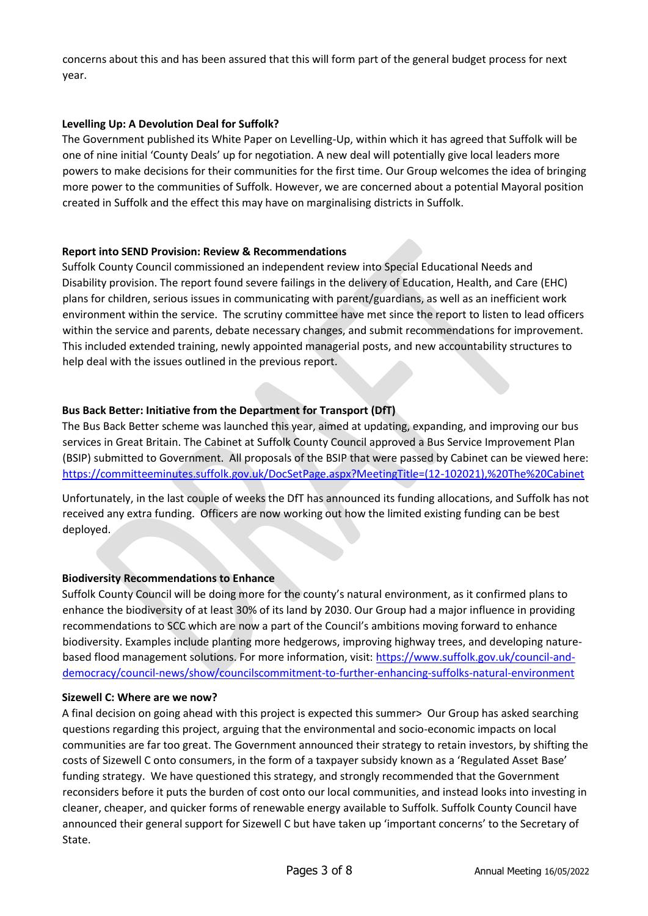concerns about this and has been assured that this will form part of the general budget process for next year.

# **Levelling Up: A Devolution Deal for Suffolk?**

The Government published its White Paper on Levelling-Up, within which it has agreed that Suffolk will be one of nine initial 'County Deals' up for negotiation. A new deal will potentially give local leaders more powers to make decisions for their communities for the first time. Our Group welcomes the idea of bringing more power to the communities of Suffolk. However, we are concerned about a potential Mayoral position created in Suffolk and the effect this may have on marginalising districts in Suffolk.

#### **Report into SEND Provision: Review & Recommendations**

Suffolk County Council commissioned an independent review into Special Educational Needs and Disability provision. The report found severe failings in the delivery of Education, Health, and Care (EHC) plans for children, serious issues in communicating with parent/guardians, as well as an inefficient work environment within the service. The scrutiny committee have met since the report to listen to lead officers within the service and parents, debate necessary changes, and submit recommendations for improvement. This included extended training, newly appointed managerial posts, and new accountability structures to help deal with the issues outlined in the previous report.

# **Bus Back Better: Initiative from the Department for Transport (DfT)**

The Bus Back Better scheme was launched this year, aimed at updating, expanding, and improving our bus services in Great Britain. The Cabinet at Suffolk County Council approved a Bus Service Improvement Plan (BSIP) submitted to Government. All proposals of the BSIP that were passed by Cabinet can be viewed here: [https://committeeminutes.suffolk.gov.uk/DocSetPage.aspx?MeetingTitle=\(12-102021\),%20The%20Cabinet](https://committeeminutes.suffolk.gov.uk/DocSetPage.aspx?MeetingTitle=(12-10-2021),%20The%20Cabinet)

Unfortunately, in the last couple of weeks the DfT has announced its funding allocations, and Suffolk has not received any extra funding. Officers are now working out how the limited existing funding can be best deployed.

# **Biodiversity Recommendations to Enhance**

Suffolk County Council will be doing more for the county's natural environment, as it confirmed plans to enhance the biodiversity of at least 30% of its land by 2030. Our Group had a major influence in providing recommendations to SCC which are now a part of the Council's ambitions moving forward to enhance biodiversity. Examples include planting more hedgerows, improving highway trees, and developing naturebased flood management solutions. For more information, visit: [https://www.suffolk.gov.uk/council-and](https://www.suffolk.gov.uk/council-and-democracy/council-news/show/councils-commitment-to-further-enhancing-suffolks-natural-environment)[democracy/council-news/show/councilscommitment-to-further-enhancing-suffolks-natural-environment](https://www.suffolk.gov.uk/council-and-democracy/council-news/show/councils-commitment-to-further-enhancing-suffolks-natural-environment)

#### **Sizewell C: Where are we now?**

A final decision on going ahead with this project is expected this summer> Our Group has asked searching questions regarding this project, arguing that the environmental and socio-economic impacts on local communities are far too great. The Government announced their strategy to retain investors, by shifting the costs of Sizewell C onto consumers, in the form of a taxpayer subsidy known as a 'Regulated Asset Base' funding strategy. We have questioned this strategy, and strongly recommended that the Government reconsiders before it puts the burden of cost onto our local communities, and instead looks into investing in cleaner, cheaper, and quicker forms of renewable energy available to Suffolk. Suffolk County Council have announced their general support for Sizewell C but have taken up 'important concerns' to the Secretary of State.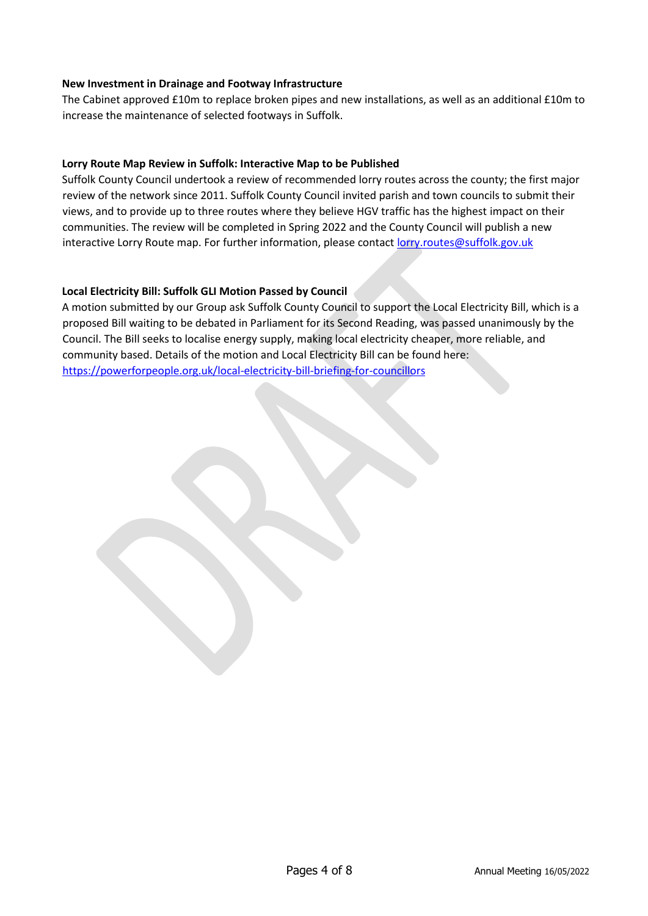## **New Investment in Drainage and Footway Infrastructure**

The Cabinet approved £10m to replace broken pipes and new installations, as well as an additional £10m to increase the maintenance of selected footways in Suffolk.

# **Lorry Route Map Review in Suffolk: Interactive Map to be Published**

Suffolk County Council undertook a review of recommended lorry routes across the county; the first major review of the network since 2011. Suffolk County Council invited parish and town councils to submit their views, and to provide up to three routes where they believe HGV traffic has the highest impact on their communities. The review will be completed in Spring 2022 and the County Council will publish a new interactive Lorry Route map. For further information, please contact lorry.routes@suffolk.gov.uk

## **Local Electricity Bill: Suffolk GLI Motion Passed by Council**

A motion submitted by our Group ask Suffolk County Council to support the Local Electricity Bill, which is a proposed Bill waiting to be debated in Parliament for its Second Reading, was passed unanimously by the Council. The Bill seeks to localise energy supply, making local electricity cheaper, more reliable, and community based. Details of the motion and Local Electricity Bill can be found here: <https://powerforpeople.org.uk/local-electricity-bill-briefing-for-councillors>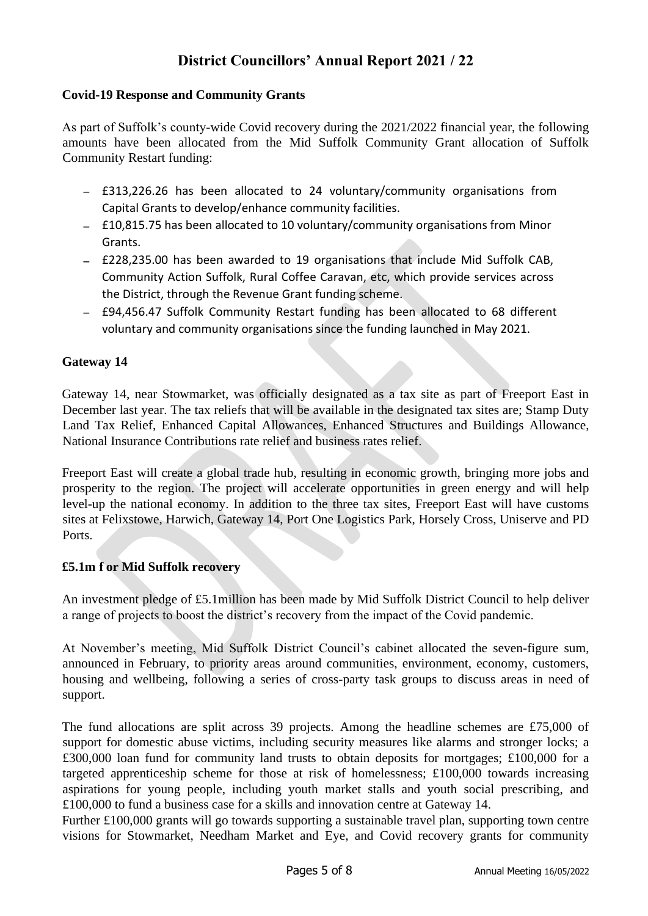# **District Councillors' Annual Report 2021 / 22**

# **Covid-19 Response and Community Grants**

As part of Suffolk's county-wide Covid recovery during the 2021/2022 financial year, the following amounts have been allocated from the Mid Suffolk Community Grant allocation of Suffolk Community Restart funding:

- − £313,226.26 has been allocated to 24 voluntary/community organisations from Capital Grants to develop/enhance community facilities.
- − £10,815.75 has been allocated to 10 voluntary/community organisations from Minor **Grants**
- − £228,235.00 has been awarded to 19 organisations that include Mid Suffolk CAB, Community Action Suffolk, Rural Coffee Caravan, etc, which provide services across the District, through the Revenue Grant funding scheme.
- − £94,456.47 Suffolk Community Restart funding has been allocated to 68 different voluntary and community organisations since the funding launched in May 2021.

# **Gateway 14**

Gateway 14, near Stowmarket, was officially designated as a tax site as part of Freeport East in December last year. The tax reliefs that will be available in the designated tax sites are; Stamp Duty Land Tax Relief, Enhanced Capital Allowances, Enhanced Structures and Buildings Allowance, National Insurance Contributions rate relief and business rates relief.

Freeport East will create a global trade hub, resulting in economic growth, bringing more jobs and prosperity to the region. The project will accelerate opportunities in green energy and will help level-up the national economy. In addition to the three tax sites, Freeport East will have customs sites at Felixstowe, Harwich, Gateway 14, Port One Logistics Park, Horsely Cross, Uniserve and PD Ports.

# **£5.1m f or Mid Suffolk recovery**

An investment pledge of £5.1million has been made by Mid Suffolk District Council to help deliver a range of projects to boost the district's recovery from the impact of the Covid pandemic.

At November's meeting, Mid Suffolk District Council's cabinet allocated the seven-figure sum, announced in February, to priority areas around communities, environment, economy, customers, housing and wellbeing, following a series of cross-party task groups to discuss areas in need of support.

The fund allocations are split across 39 projects. Among the headline schemes are £75,000 of support for domestic abuse victims, including security measures like alarms and stronger locks; a £300,000 loan fund for community land trusts to obtain deposits for mortgages; £100,000 for a targeted apprenticeship scheme for those at risk of homelessness; £100,000 towards increasing aspirations for young people, including youth market stalls and youth social prescribing, and £100,000 to fund a business case for a skills and innovation centre at Gateway 14.

Further £100,000 grants will go towards supporting a sustainable travel plan, supporting town centre visions for Stowmarket, Needham Market and Eye, and Covid recovery grants for community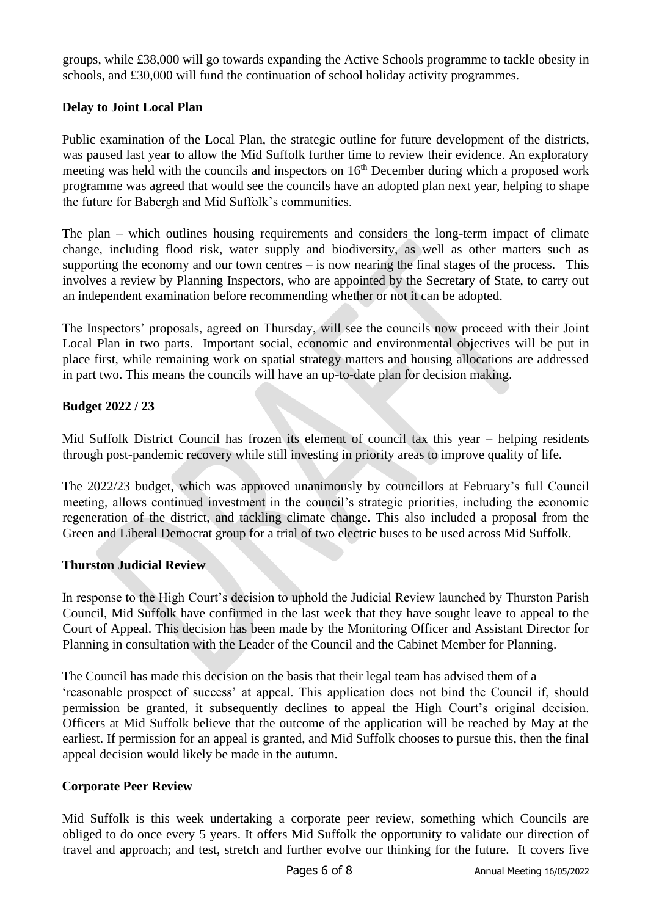groups, while £38,000 will go towards expanding the Active Schools programme to tackle obesity in schools, and £30,000 will fund the continuation of school holiday activity programmes.

# **Delay to Joint Local Plan**

Public examination of the Local Plan, the strategic outline for future development of the districts, was paused last year to allow the Mid Suffolk further time to review their evidence. An exploratory meeting was held with the councils and inspectors on  $16<sup>th</sup>$  December during which a proposed work programme was agreed that would see the councils have an adopted plan next year, helping to shape the future for Babergh and Mid Suffolk's communities.

The plan – which outlines housing requirements and considers the long-term impact of climate change, including flood risk, water supply and biodiversity, as well as other matters such as supporting the economy and our town centres  $-\overline{\phantom{a}}$  is now nearing the final stages of the process. This involves a review by Planning Inspectors, who are appointed by the Secretary of State, to carry out an independent examination before recommending whether or not it can be adopted.

The Inspectors' proposals, agreed on Thursday, will see the councils now proceed with their Joint Local Plan in two parts. Important social, economic and environmental objectives will be put in place first, while remaining work on spatial strategy matters and housing allocations are addressed in part two. This means the councils will have an up-to-date plan for decision making.

# **Budget 2022 / 23**

Mid Suffolk District Council has frozen its element of council tax this year – helping residents through post-pandemic recovery while still investing in priority areas to improve quality of life.

The 2022/23 budget, which was approved unanimously by councillors at February's full Council meeting, allows continued investment in the council's strategic priorities, including the economic regeneration of the district, and tackling climate change. This also included a proposal from the Green and Liberal Democrat group for a trial of two electric buses to be used across Mid Suffolk.

# **Thurston Judicial Review**

In response to the High Court's decision to uphold the Judicial Review launched by Thurston Parish Council, Mid Suffolk have confirmed in the last week that they have sought leave to appeal to the Court of Appeal. This decision has been made by the Monitoring Officer and Assistant Director for Planning in consultation with the Leader of the Council and the Cabinet Member for Planning.

The Council has made this decision on the basis that their legal team has advised them of a 'reasonable prospect of success' at appeal. This application does not bind the Council if, should permission be granted, it subsequently declines to appeal the High Court's original decision. Officers at Mid Suffolk believe that the outcome of the application will be reached by May at the earliest. If permission for an appeal is granted, and Mid Suffolk chooses to pursue this, then the final appeal decision would likely be made in the autumn.

# **Corporate Peer Review**

Mid Suffolk is this week undertaking a corporate peer review, something which Councils are obliged to do once every 5 years. It offers Mid Suffolk the opportunity to validate our direction of travel and approach; and test, stretch and further evolve our thinking for the future. It covers five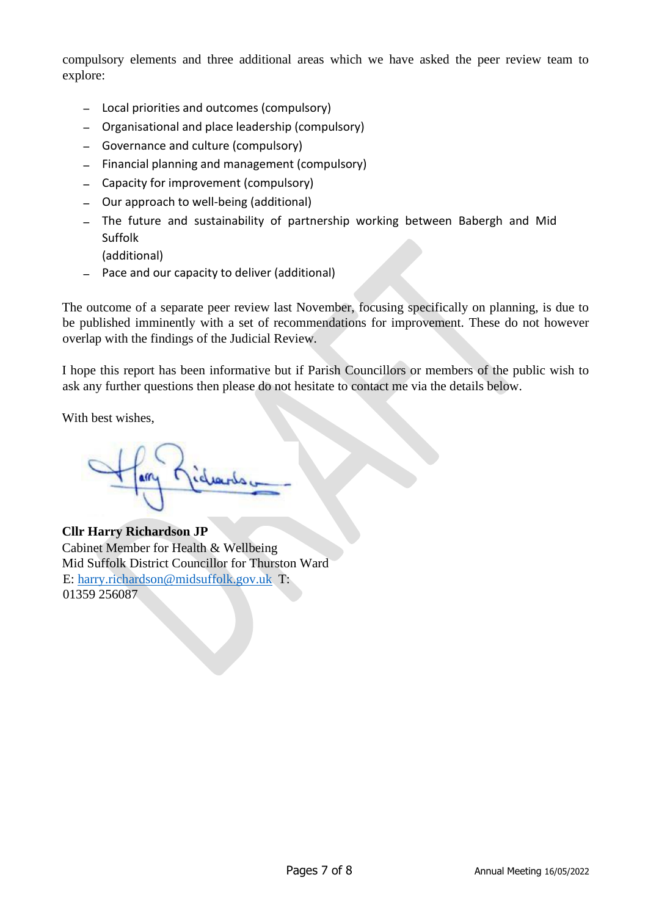compulsory elements and three additional areas which we have asked the peer review team to explore:

- − Local priorities and outcomes (compulsory)
- − Organisational and place leadership (compulsory)
- − Governance and culture (compulsory)
- − Financial planning and management (compulsory)
- − Capacity for improvement (compulsory)
- − Our approach to well-being (additional)
- − The future and sustainability of partnership working between Babergh and Mid Suffolk
	- (additional)
- − Pace and our capacity to deliver (additional)

The outcome of a separate peer review last November, focusing specifically on planning, is due to be published imminently with a set of recommendations for improvement. These do not however overlap with the findings of the Judicial Review.

I hope this report has been informative but if Parish Councillors or members of the public wish to ask any further questions then please do not hesitate to contact me via the details below.

With best wishes,

**Cllr Harry Richardson JP** Cabinet Member for Health & Wellbeing Mid Suffolk District Councillor for Thurston Ward E: harry.richardson@midsuffolk.gov.uk T: 01359 256087